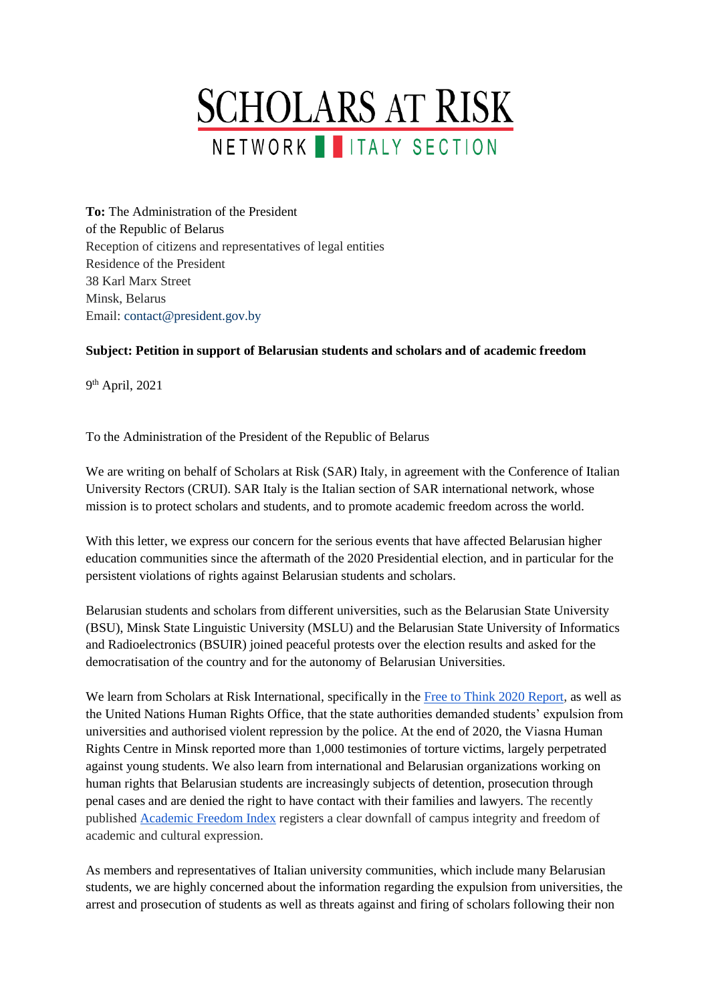

**To:** The Administration of the President of the Republic of Belarus Reception of citizens and representatives of legal entities Residence of the President 38 Karl Marx Street Minsk, Belarus Email: contact@president.gov.by

## **Subject: Petition in support of Belarusian students and scholars and of academic freedom**

9 th April, 2021

To the Administration of the President of the Republic of Belarus

We are writing on behalf of Scholars at Risk (SAR) Italy, in agreement with the Conference of Italian University Rectors (CRUI). SAR Italy is the Italian section of SAR international network, whose mission is to protect scholars and students, and to promote academic freedom across the world.

With this letter, we express our concern for the serious events that have affected Belarusian higher education communities since the aftermath of the 2020 Presidential election, and in particular for the persistent violations of rights against Belarusian students and scholars.

Belarusian students and scholars from different universities, such as the Belarusian State University (BSU), Minsk State Linguistic University (MSLU) and the Belarusian State University of Informatics and Radioelectronics (BSUIR) joined peaceful protests over the election results and asked for the democratisation of the country and for the autonomy of Belarusian Universities.

We learn from Scholars at Risk International, specifically in the [Free to Think 2020 Report,](https://www.scholarsatrisk.org/wp-content/uploads/2020/11/Scholars-at-Risk-Free-to-Think-2020.pdf) as well as the United Nations Human Rights Office, that the state authorities demanded students' expulsion from universities and authorised violent repression by the police. At the end of 2020, the Viasna Human Rights Centre in Minsk reported more than 1,000 testimonies of torture victims, largely perpetrated against young students. We also learn from international and Belarusian organizations working on human rights that Belarusian students are increasingly subjects of detention, prosecution through penal cases and are denied the right to have contact with their families and lawyers. The recently published [Academic Freedom Index](https://www.gppi.net/media/KinzelbachEtAl_2021_Free_Universities_AFi-2020.pdf) registers a clear downfall of campus integrity and freedom of academic and cultural expression.

As members and representatives of Italian university communities, which include many Belarusian students, we are highly concerned about the information regarding the expulsion from universities, the arrest and prosecution of students as well as threats against and firing of scholars following their non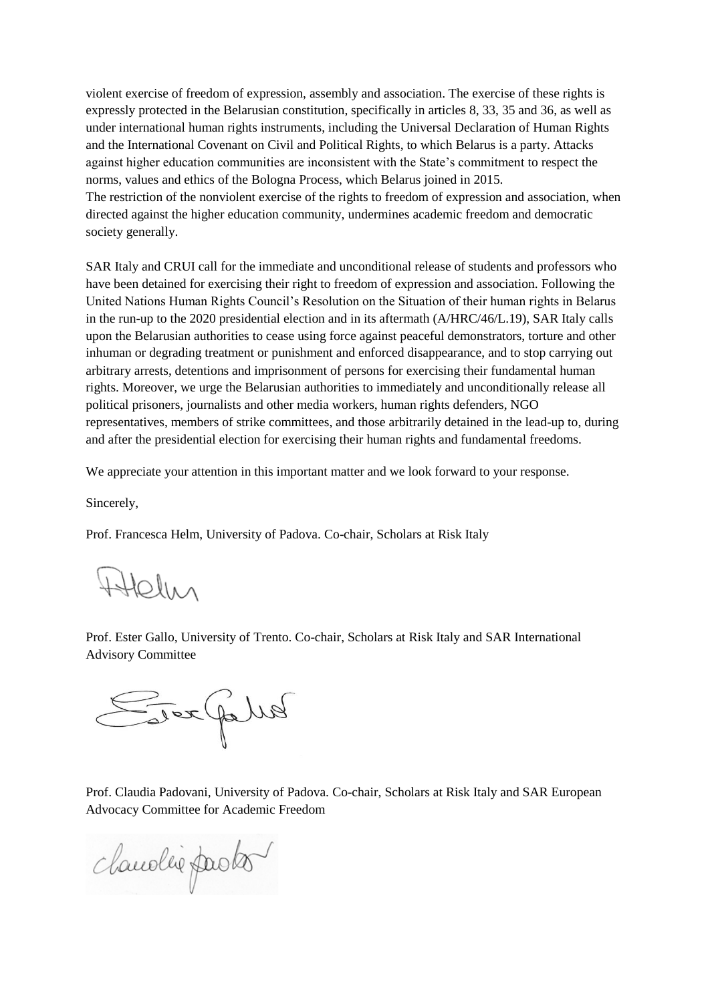violent exercise of freedom of expression, assembly and association. The exercise of these rights is expressly protected in the Belarusian constitution, specifically in articles 8, 33, 35 and 36, as well as under international human rights instruments, including the Universal Declaration of Human Rights and the International Covenant on Civil and Political Rights, to which Belarus is a party. Attacks against higher education communities are inconsistent with the State's commitment to respect the norms, values and ethics of the Bologna Process, which Belarus joined in 2015. The restriction of the nonviolent exercise of the rights to freedom of expression and association, when directed against the higher education community, undermines academic freedom and democratic society generally.

SAR Italy and CRUI call for the immediate and unconditional release of students and professors who have been detained for exercising their right to freedom of expression and association. Following the United Nations Human Rights Council's Resolution on the Situation of their human rights in Belarus in the run-up to the 2020 presidential election and in its aftermath (A/HRC/46/L.19), SAR Italy calls upon the Belarusian authorities to cease using force against peaceful demonstrators, torture and other inhuman or degrading treatment or punishment and enforced disappearance, and to stop carrying out arbitrary arrests, detentions and imprisonment of persons for exercising their fundamental human rights. Moreover, we urge the Belarusian authorities to immediately and unconditionally release all political prisoners, journalists and other media workers, human rights defenders, NGO representatives, members of strike committees, and those arbitrarily detained in the lead-up to, during and after the presidential election for exercising their human rights and fundamental freedoms.

We appreciate your attention in this important matter and we look forward to your response.

Sincerely,

Prof. Francesca Helm, University of Padova. Co-chair, Scholars at Risk Italy

Attelin

Prof. Ester Gallo, University of Trento. Co-chair, Scholars at Risk Italy and SAR International Advisory Committee

Ever Julia

Prof. Claudia Padovani, University of Padova. Co-chair, Scholars at Risk Italy and SAR European Advocacy Committee for Academic Freedom

chandlie pasto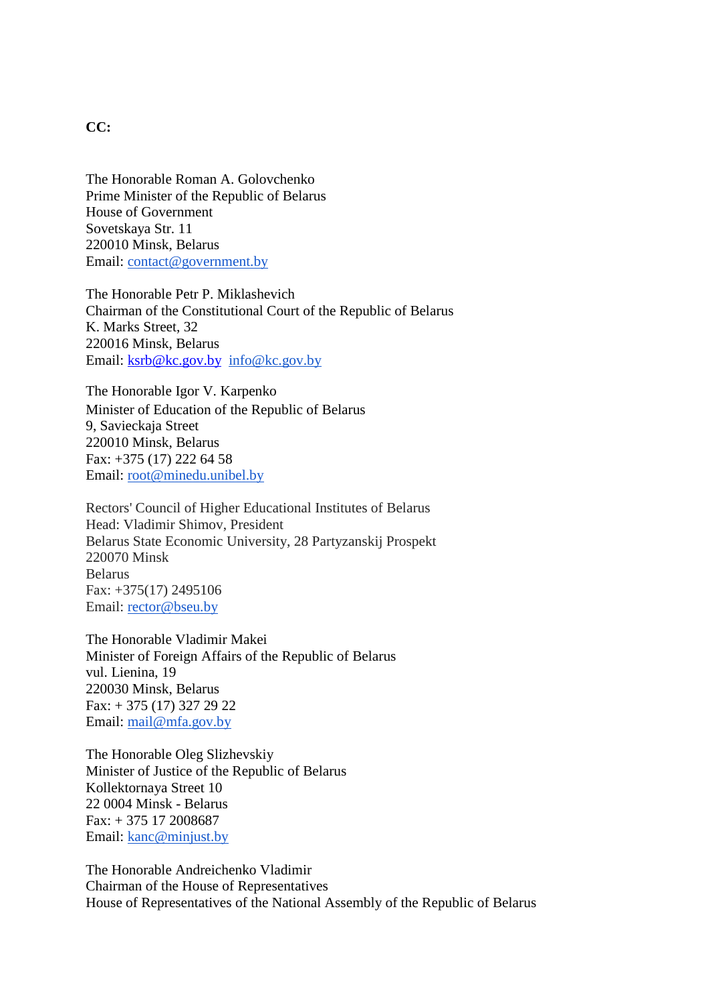## **CC:**

The Honorable Roman A. Golovchenko Prime Minister of the Republic of Belarus House of Government Sovetskaya Str. 11 220010 Minsk, Belarus Email: [contact@government.by](mailto:contact@government.by)

The Honorable Petr P. Miklashevich Chairman of the Constitutional Court of the Republic of Belarus K. Marks Street, 32 220016 Minsk, Belarus Email: [ksrb@kc.gov.by](mailto:ksrb@kc.gov.by) [info@kc.gov.by](mailto:info@kc.gov.by)

The Honorable Igor V. Karpenko Minister of Education of the Republic of Belarus 9, Savieckaja Street 220010 Minsk, Belarus Fax: +375 (17) 222 64 58 Email: [root@minedu.unibel.by](mailto:root@minedu.unibel.by)

Rectors' Council of Higher Educational Institutes of Belarus Head: Vladimir Shimov, President Belarus State Economic University, 28 Partyzanskij Prospekt 220070 Minsk Belarus Fax: +375(17) 2495106 Email: [rector@bseu.by](mailto:rector@bseu.by)

The Honorable Vladimir Makei Minister of Foreign Affairs of the Republic of Belarus vul. Lienina, 19 220030 Minsk, Belarus Fax: + 375 (17) 327 29 22 Email: [mail@mfa.gov.by](mailto:mail@mfa.gov.by)

The Honorable Oleg Slizhevskiy Minister of Justice of the Republic of Belarus Kollektornaya Street 10 22 0004 Minsk - Belarus Fax: + 375 17 2008687 Email: [kanc@minjust.by](mailto:kanc@minjust.by)

The Honorable Andreichenko Vladimir Chairman of the House of Representatives House of Representatives of the National Assembly of the Republic of Belarus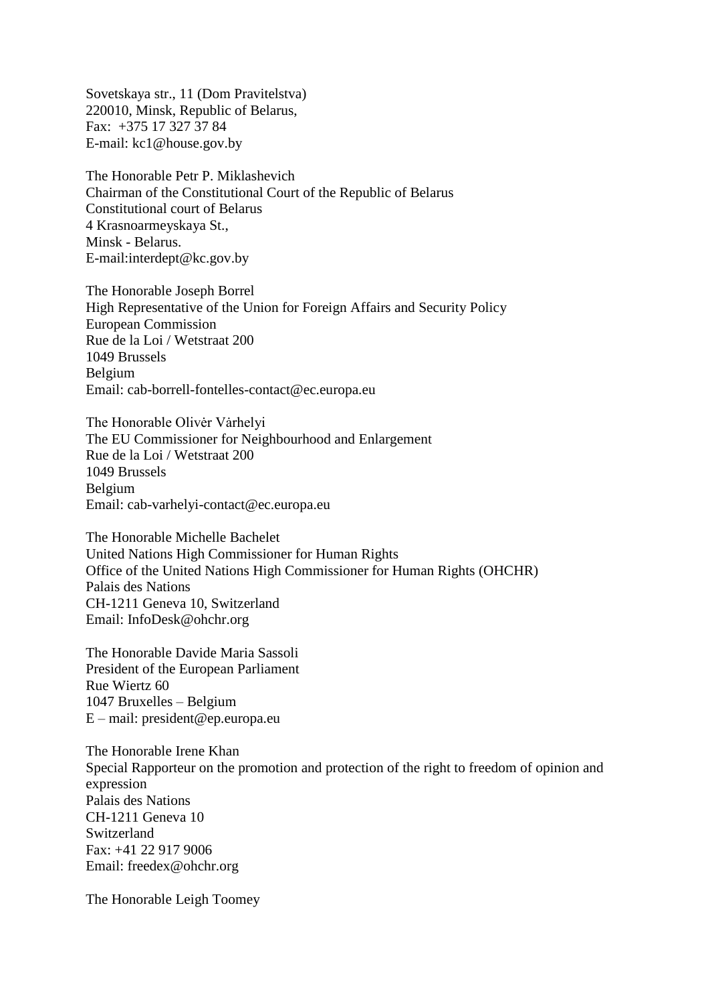Sovetskaya str., 11 (Dom Pravitelstva) 220010, Minsk, Republic of Belarus, Fax: +375 17 327 37 84 E-mail: kc1@house.gov.by

The Honorable Petr P. Miklashevich Chairman of the Constitutional Court of the Republic of Belarus Constitutional court of Belarus 4 Krasnoarmeyskaya St., Minsk - Belarus. E-mail:interdept@kc.gov.by

The Honorable Joseph Borrel High Representative of the Union for Foreign Affairs and Security Policy European Commission Rue de la Loi / Wetstraat 200 1049 Brussels Belgium Email: cab-borrell-fontelles-contact@ec.europa.eu

The Honorable Olivėr Varhelyi The EU Commissioner for Neighbourhood and Enlargement Rue de la Loi / Wetstraat 200 1049 Brussels Belgium Email: cab-varhelyi-contact@ec.europa.eu

The Honorable Michelle Bachelet United Nations High Commissioner for Human Rights Office of the United Nations High Commissioner for Human Rights (OHCHR) Palais des Nations CH-1211 Geneva 10, Switzerland Email: InfoDesk@ohchr.org

The Honorable Davide Maria Sassoli President of the European Parliament Rue Wiertz 60 1047 Bruxelles – Belgium E – mail: president@ep.europa.eu

The Honorable Irene Khan Special Rapporteur on the promotion and protection of the right to freedom of opinion and expression Palais des Nations CH-1211 Geneva 10 Switzerland Fax: +41 22 917 9006 Email: freedex@ohchr.org

The Honorable Leigh Toomey